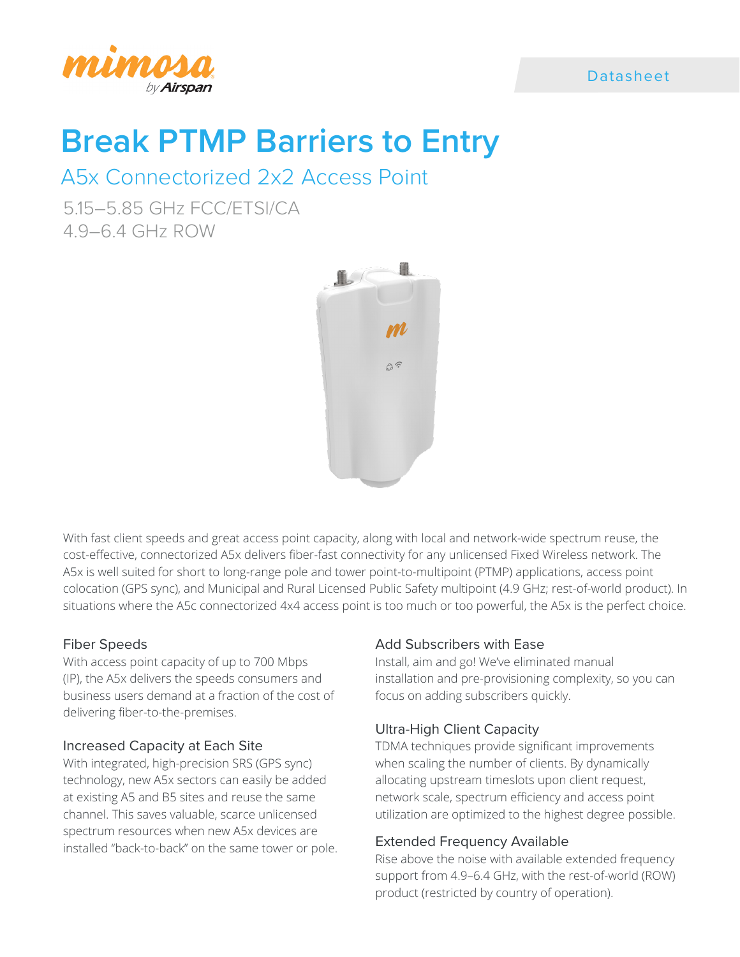

### Datasheet

# **Break PTMP Barriers to Entry**

## A5x Connectorized 2x2 Access Point

5.15–5.85 GHz FCC/ETSI/CA 4.9–6.4 GHz ROW



With fast client speeds and great access point capacity, along with local and network-wide spectrum reuse, the cost-effective, connectorized A5x delivers fiber-fast connectivity for any unlicensed Fixed Wireless network. The A5x is well suited for short to long-range pole and tower point-to-multipoint (PTMP) applications, access point colocation (GPS sync), and Municipal and Rural Licensed Public Safety multipoint (4.9 GHz; rest-of-world product). In situations where the A5c connectorized 4x4 access point is too much or too powerful, the A5x is the perfect choice.

### Fiber Speeds

With access point capacity of up to 700 Mbps (IP), the A5x delivers the speeds consumers and business users demand at a fraction of the cost of delivering fiber-to-the-premises.

### Increased Capacity at Each Site

With integrated, high-precision SRS (GPS sync) technology, new A5x sectors can easily be added at existing A5 and B5 sites and reuse the same channel. This saves valuable, scarce unlicensed spectrum resources when new A5x devices are installed "back-to-back" on the same tower or pole.

### Add Subscribers with Ease

Install, aim and go! We've eliminated manual installation and pre-provisioning complexity, so you can focus on adding subscribers quickly.

### Ultra-High Client Capacity

TDMA techniques provide significant improvements when scaling the number of clients. By dynamically allocating upstream timeslots upon client request, network scale, spectrum efficiency and access point utilization are optimized to the highest degree possible.

### Extended Frequency Available

Rise above the noise with available extended frequency support from 4.9–6.4 GHz, with the rest-of-world (ROW) product (restricted by country of operation).